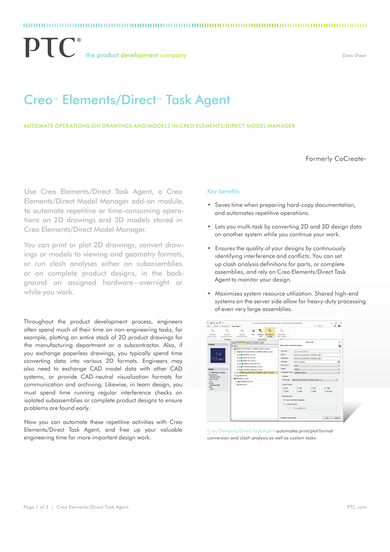$\mathbf{P}\mathbf{T}$   $\mathbf{C}^*$  the product development company

### Data Sheet

# Creo™ Elements/Direct™ Task Agent

Automate operations on drawings and models in Creo Elements/Direct Model Manager

Formerly CoCreate<sup>®</sup>

Use Creo Elements/Direct Task Agent, a Creo Elements/Direct Model Manager add-on module, to automate repetitive or time-consuming operations on 2D drawings and 3D models stored in Creo Elements/Direct Model Manager.

You can print or plot 2D drawings, convert drawings or models to viewing and geometry formats, or run clash analyses either on subassemblies or on complete product designs, in the background on assigned hardware–overnight or while you work.

Throughout the product development process, engineers often spend much of their time on non-engineering tasks, for example, plotting an entire stack of 2D product drawings for the manufacturing department or a subcontractor. Also, if you exchange paperless drawings, you typically spend time converting data into various 2D formats. Engineers may also need to exchange CAD model data with other CAD systems, or provide CAD-neutral visualization formats for communication and archiving. Likewise, in team design, you must spend time running regular interference checks on isolated subassemblies or complete product designs to ensure problems are found early.

Now you can automate these repetitive activities with Creo Elements/Direct Task Agent, and free up your valuable engineering time for more important design work.

### Key benefits

- • Saves time when preparing hard-copy documentation, and automates repetitive operations.
- Lets you multi-task by converting 2D and 3D design data on another system while you continue your work.
- • Ensures the quality of your designs by continuously identifying interference and conflicts. You can set up clash analysis definitions for parts, or complete assemblies, and rely on Creo Elements/Direct Task Agent to monitor your design.
- • Maximizes system resource utilization. Shared high-end systems on the server side allow for heavy-duty processing of even very large assemblies.



Creo Elements/Direct Task Agent automates print/plot format conversion and clash analysis as well as custom tasks.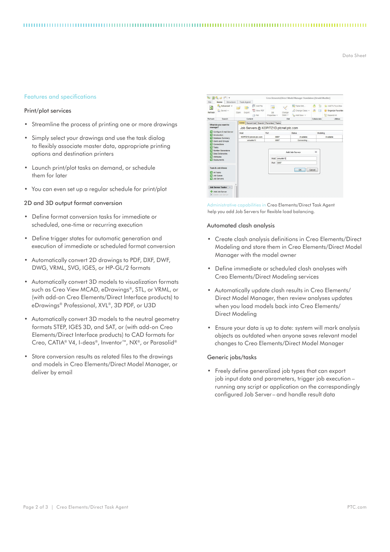Data Sheet

### Features and specifications

## Print/plot services

- • Streamline the process of printing one or more drawings
- Simply select your drawings and use the task dialog to flexibly associate master data, appropriate printing options and destination printers
- • Launch print/plot tasks on demand, or schedule them for later
- • You can even set up a regular schedule for print/plot

#### 2D and 3D output format conversion

- • Define format conversion tasks for immediate or scheduled, one-time or recurring execution
- • Define trigger states for automatic generation and execution of immediate or scheduled format conversion
- • Automatically convert 2D drawings to PDF, DXF, DWF, DWG, VRML, SVG, IGES, or HP-GL/2 formats
- • Automatically convert 3D models to visualization formats such as Creo View MCAD, eDrawings®, STL, or VRML, or (with add-on Creo Elements/Direct Interface products) to eDrawings® Professional, XVL®, 3D PDF, or U3D
- Automatically convert 3D models to the neutral geometry formats STEP, IGES 3D, and SAT, or (with add-on Creo Elements/Direct Interface products) to CAD formats for Creo, CATIA® V4, I-deas®, Inventor™, NX®, or Parasolid®
- Store conversion results as related files to the drawings and models in Creo Elements/Direct Model Manager, or deliver by email

| 西西西<br>$-44$ $-7$<br>$\sum_{i=1}^{n}$                                                                                                                                                                                                        |                                                                        |                                          | Creo Elements/Direct Model Manager Standalone [Arnold Mueller] |                                                       |                        |                                           |                          |                                                                 |  |
|----------------------------------------------------------------------------------------------------------------------------------------------------------------------------------------------------------------------------------------------|------------------------------------------------------------------------|------------------------------------------|----------------------------------------------------------------|-------------------------------------------------------|------------------------|-------------------------------------------|--------------------------|-----------------------------------------------------------------|--|
| File<br>φ<br>Refresh                                                                                                                                                                                                                         | Structure<br>Home<br>Advanced v<br>a Saved ~                           | <b>Task Agent</b><br>卧<br>Export<br>Open | Add File<br>View PDF<br>A.<br>Plot                             | <b>Auto</b><br><b>DR</b><br>Properties v              | Change<br>State $\vee$ | Table Edit<br>Change Class V<br>Add New V | Ð<br>é.<br>$\sqrt{2}$    | Add To Favorites<br>Organize Favorites<br><b>Per</b> Expand All |  |
| Refresh                                                                                                                                                                                                                                      | Search<br>Content                                                      |                                          |                                                                | Edit                                                  |                        |                                           | Collaborate<br>Utilities |                                                                 |  |
| What do you want to                                                                                                                                                                                                                          |                                                                        |                                          | Admin Recent List Search Favorites Tasks                       |                                                       |                        |                                           |                          |                                                                 |  |
| manage?                                                                                                                                                                                                                                      |                                                                        |                                          | Job Servers @ KOPITZ1D.ptcnet.ptc.com                          |                                                       |                        |                                           |                          |                                                                 |  |
| Configure E-mail Server<br>ы<br>$E$ Introduction<br>Database Summary<br><b>D</b> Users and Groups<br><b>EX</b> Connections<br><b>EX Tasks</b><br>Number Generators<br><b>Data Dictionaries</b><br><b>EX</b> Attributes<br><b>Deployments</b> |                                                                        | Host                                     |                                                                | Port                                                  |                        | <b>Status</b>                             |                          | Modeling                                                        |  |
|                                                                                                                                                                                                                                              |                                                                        | KOPITZ1D.ptcnet.ptc.com                  |                                                                | 8897                                                  |                        | Available                                 |                          | Available                                                       |  |
|                                                                                                                                                                                                                                              |                                                                        | amueller11                               |                                                                | 8897                                                  |                        | Connecting                                |                          |                                                                 |  |
|                                                                                                                                                                                                                                              |                                                                        |                                          |                                                                | <b>Add Job Server</b><br>Host: amueler1<br>Port: 8897 |                        |                                           | $\Sigma$                 |                                                                 |  |
| <b>EXAITARKS</b>                                                                                                                                                                                                                             | <b>Task &amp; Job Views</b><br><b>EX</b> Job Queue<br>Job Servers      |                                          |                                                                |                                                       |                        | OK                                        | Cancel                   |                                                                 |  |
|                                                                                                                                                                                                                                              | <b>Job Server Tasks</b><br>◈<br>Add Job Server<br>X Delete Job Server. |                                          |                                                                |                                                       |                        |                                           |                          |                                                                 |  |

Administrative capabilities in Creo Elements/Direct Task Agent help you add Job Servers for flexible load balancing.

#### Automated clash analysis

- • Create clash analysis definitions in Creo Elements/Direct Modeling and store them in Creo Elements/Direct Model Manager with the model owner
- • Define immediate or scheduled clash analyses with Creo Elements/Direct Modeling services
- • Automatically update clash results in Creo Elements/ Direct Model Manager, then review analyses updates when you load models back into Creo Elements/ Direct Modeling
- Ensure your data is up to date: system will mark analysis objects as outdated when anyone saves relevant model changes to Creo Elements/Direct Model Manager

## Generic jobs/tasks

• Freely define generalized job types that can export job input data and parameters, trigger job execution – running any script or application on the correspondingly configured Job Server– and handle result data